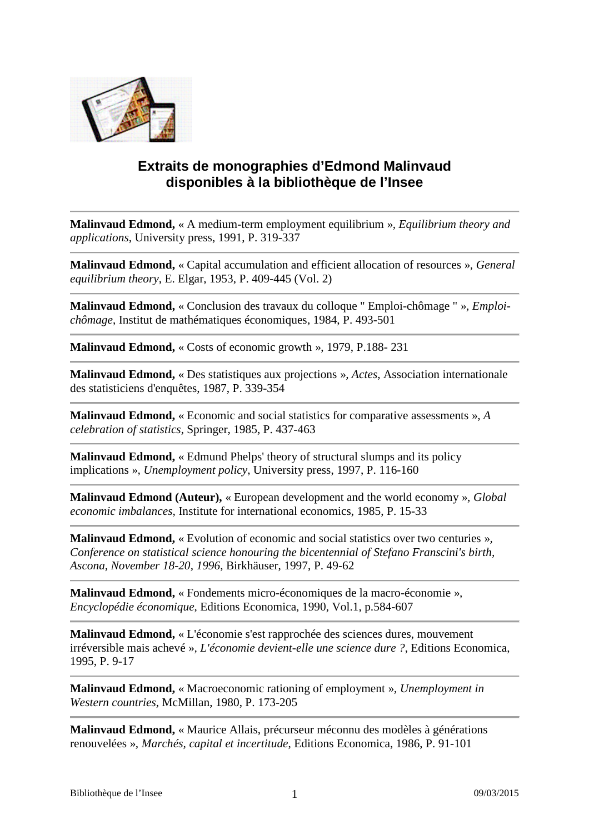

## **Extraits de monographies d'Edmond Malinvaud disponibles à la bibliothèque de l'Insee**

**Malinvaud Edmond,** « A medium-term employment equilibrium »*, Equilibrium theory and applications*, University press, 1991, P. 319-337

**Malinvaud Edmond,** « Capital accumulation and efficient allocation of resources »*, General equilibrium theory*, E. Elgar, 1953, P. 409-445 (Vol. 2)

**Malinvaud Edmond,** « Conclusion des travaux du colloque " Emploi-chômage " »*, Emploichômage*, Institut de mathématiques économiques, 1984, P. 493-501

**Malinvaud Edmond,** « Costs of economic growth », 1979, P.188- 231

**Malinvaud Edmond,** « Des statistiques aux projections »*, Actes*, Association internationale des statisticiens d'enquêtes, 1987, P. 339-354

**Malinvaud Edmond,** « Economic and social statistics for comparative assessments »*, A celebration of statistics*, Springer, 1985, P. 437-463

**Malinvaud Edmond,** « Edmund Phelps' theory of structural slumps and its policy implications »*, Unemployment policy*, University press, 1997, P. 116-160

**Malinvaud Edmond (Auteur),** « European development and the world economy »*, Global economic imbalances*, Institute for international economics, 1985, P. 15-33

**Malinvaud Edmond,** « Evolution of economic and social statistics over two centuries »*, Conference on statistical science honouring the bicentennial of Stefano Franscini's birth, Ascona, November 18-20, 1996*, Birkhäuser, 1997, P. 49-62

**Malinvaud Edmond,** « Fondements micro-économiques de la macro-économie »*, Encyclopédie économique*, Editions Economica, 1990, Vol.1, p.584-607

**Malinvaud Edmond,** « L'économie s'est rapprochée des sciences dures, mouvement irréversible mais achevé »*, L'économie devient-elle une science dure ?*, Editions Economica, 1995, P. 9-17

**Malinvaud Edmond,** « Macroeconomic rationing of employment »*, Unemployment in Western countries*, McMillan, 1980, P. 173-205

**Malinvaud Edmond,** « Maurice Allais, précurseur méconnu des modèles à générations renouvelées »*, Marchés, capital et incertitude*, Editions Economica, 1986, P. 91-101